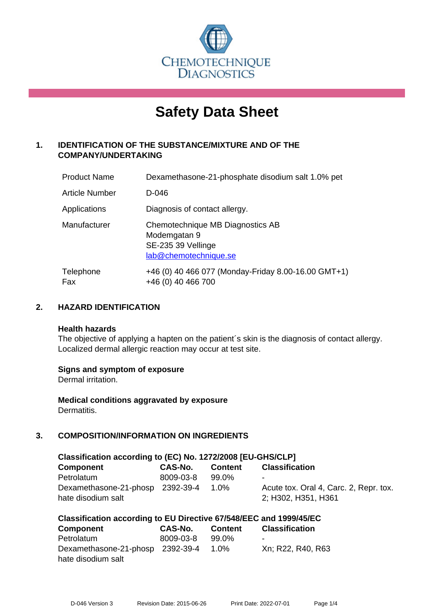

# **Safety Data Sheet**

# **1. IDENTIFICATION OF THE SUBSTANCE/MIXTURE AND OF THE COMPANY/UNDERTAKING**

| <b>Product Name</b> | Dexamethasone-21-phosphate disodium salt 1.0% pet                                               |
|---------------------|-------------------------------------------------------------------------------------------------|
| Article Number      | D-046                                                                                           |
| Applications        | Diagnosis of contact allergy.                                                                   |
| Manufacturer        | Chemotechnique MB Diagnostics AB<br>Modemgatan 9<br>SE-235 39 Vellinge<br>lab@chemotechnique.se |
| Telephone<br>Fax    | +46 (0) 40 466 077 (Monday-Friday 8.00-16.00 GMT+1)<br>+46 (0) 40 466 700                       |

## **2. HAZARD IDENTIFICATION**

#### **Health hazards**

The objective of applying a hapten on the patient's skin is the diagnosis of contact allergy. Localized dermal allergic reaction may occur at test site.

## **Signs and symptom of exposure**

Dermal irritation.

**Medical conditions aggravated by exposure** Dermatitis.

# **3. COMPOSITION/INFORMATION ON INGREDIENTS**

| Classification according to (EC) No. 1272/2008 [EU-GHS/CLP] |                |         |                                                               |  |  |
|-------------------------------------------------------------|----------------|---------|---------------------------------------------------------------|--|--|
| <b>Component</b>                                            | <b>CAS-No.</b> | Content | <b>Classification</b>                                         |  |  |
| Petrolatum                                                  | 8009-03-8      | 99.0%   | -                                                             |  |  |
| Dexamethasone-21-phosp 2392-39-4<br>hate disodium salt      |                | 1.0%    | Acute tox. Oral 4, Carc. 2, Repr. tox.<br>2; H302, H351, H361 |  |  |

| Classification according to EU Directive 67/548/EEC and 1999/45/EC |           |         |                       |  |
|--------------------------------------------------------------------|-----------|---------|-----------------------|--|
| <b>Component</b>                                                   | CAS-No.   | Content | <b>Classification</b> |  |
| Petrolatum                                                         | 8009-03-8 | 99.0%   | -                     |  |
| Dexamethasone-21-phosp 2392-39-4                                   |           | $1.0\%$ | Xn; R22, R40, R63     |  |
| hate disodium salt                                                 |           |         |                       |  |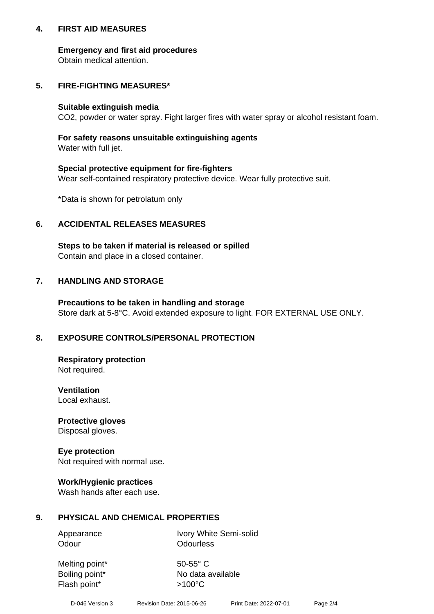## **4. FIRST AID MEASURES**

## **Emergency and first aid procedures**

Obtain medical attention.

# **5. FIRE-FIGHTING MEASURES\***

#### **Suitable extinguish media**

CO2, powder or water spray. Fight larger fires with water spray or alcohol resistant foam.

# **For safety reasons unsuitable extinguishing agents**

Water with full jet.

## **Special protective equipment for fire-fighters**

Wear self-contained respiratory protective device. Wear fully protective suit.

\*Data is shown for petrolatum only

## **6. ACCIDENTAL RELEASES MEASURES**

**Steps to be taken if material is released or spilled** Contain and place in a closed container.

# **7. HANDLING AND STORAGE**

**Precautions to be taken in handling and storage** Store dark at 5-8°C. Avoid extended exposure to light. FOR EXTERNAL USE ONLY.

# **8. EXPOSURE CONTROLS/PERSONAL PROTECTION**

**Respiratory protection** Not required.

**Ventilation** Local exhaust.

**Protective gloves** Disposal gloves.

#### **Eye protection** Not required with normal use.

## **Work/Hygienic practices**

Wash hands after each use.

## **9. PHYSICAL AND CHEMICAL PROPERTIES**

Odour **Odourless** 

Appearance Ivory White Semi-solid

Melting point\* 50-55° C Flash point\*  $>100^{\circ}$ C

Boiling point\* No data available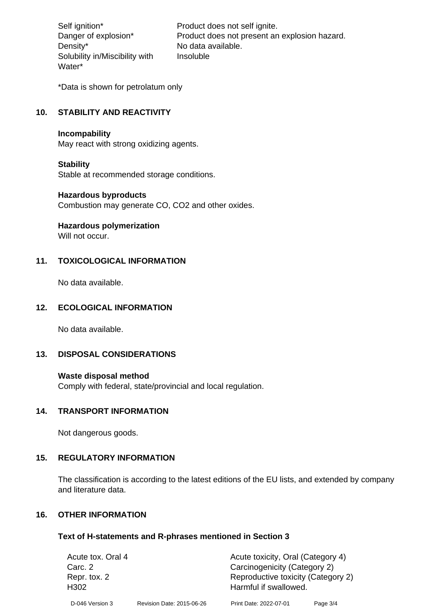Density\* No data available. Solubility in/Miscibility with Water\*

Self ignition\* Product does not self ignite. Danger of explosion\* Product does not present an explosion hazard. Insoluble

\*Data is shown for petrolatum only

# **10. STABILITY AND REACTIVITY**

#### **Incompability**

May react with strong oxidizing agents.

#### **Stability**

Stable at recommended storage conditions.

#### **Hazardous byproducts**

Combustion may generate CO, CO2 and other oxides.

**Hazardous polymerization**

Will not occur.

## **11. TOXICOLOGICAL INFORMATION**

No data available.

#### **12. ECOLOGICAL INFORMATION**

No data available.

## **13. DISPOSAL CONSIDERATIONS**

#### **Waste disposal method**

Comply with federal, state/provincial and local regulation.

#### **14. TRANSPORT INFORMATION**

Not dangerous goods.

## **15. REGULATORY INFORMATION**

The classification is according to the latest editions of the EU lists, and extended by company and literature data.

#### **16. OTHER INFORMATION**

#### **Text of H-statements and R-phrases mentioned in Section 3**

| Acute tox. Oral 4                |                           | Acute toxicity, Oral (Category 4)                           |          |  |
|----------------------------------|---------------------------|-------------------------------------------------------------|----------|--|
| Carc. 2                          |                           | Carcinogenicity (Category 2)                                |          |  |
| Repr. tox. 2<br>H <sub>302</sub> |                           | Reproductive toxicity (Category 2)<br>Harmful if swallowed. |          |  |
| D-046 Version 3                  | Revision Date: 2015-06-26 | Print Date: 2022-07-01                                      | Page 3/4 |  |